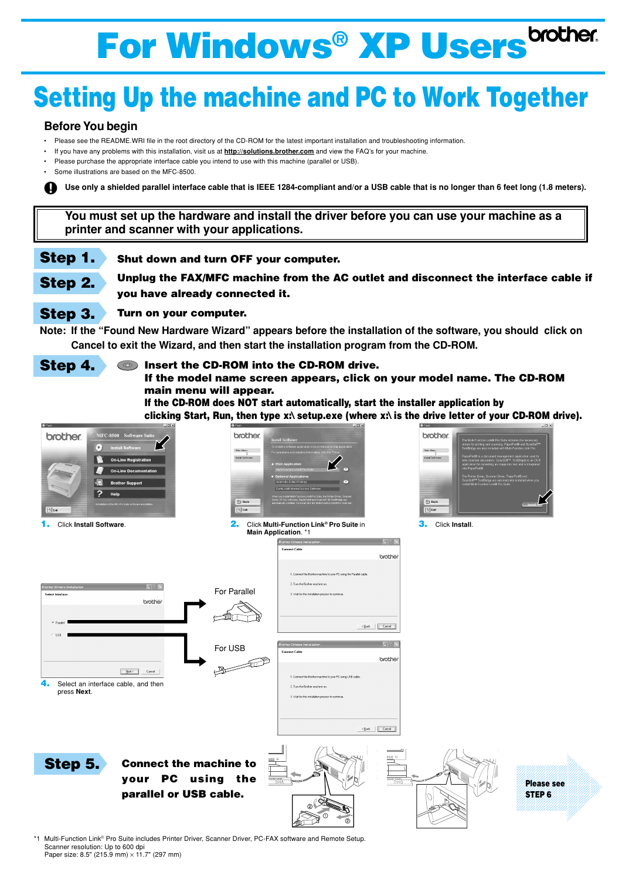## **Setting Up the machine and PC to Work Together**

- Please see the README.WRI file in the root directory of the CD-ROM for the latest important installation and troubleshooting information.
- If you have any problems with this installation, visit us at **http://solutions.brother.com** and view the FAQ's for your machine.
- Please purchase the appropriate interface cable you intend to use with this machine (parallel or USB).
- Some illustrations are based on the MFC-8500.

## **Before You begin**

**Use only a shielded parallel interface cable that is IEEE 1284-compliant and/or a USB cable that is no longer than 6 feet long (1.8 meters).**

**You must set up the hardware and install the driver before you can use your machine as a printer and scanner with your applications.**

\*1 Multi-Function Link® Pro Suite includes Printer Driver, Scanner Driver, PC-FAX software and Remote Setup. Scanner resolution: Up to 600 dpi Paper size: 8.5" (215.9 mm)  $\times$  11.7" (297 mm)

**Step 1. Shut down and turn OFF your computer.**

**Step 2. Unplug the FAX/MFC machine from the AC outlet and disconnect the interface cable if you have already connected it.**

## **Step 3. Turn on your computer.**

**Note: If the "Found New Hardware Wizard" appears before the installation of the software, you should click on Cancel to exit the Wizard, and then start the installation program from the CD-ROM.**

## **Step 4. • Insert the CD-ROM into the CD-ROM drive.**

**If the model name screen appears, click on your model name. The CD-ROM main menu will appear.**

**If the CD-ROM does NOT start automatically, start the installer application by clicking Start, Run, then type x:\ setup.exe (where x:\ is the drive letter of your CD-ROM drive).**

# **For Windows® XP Users**